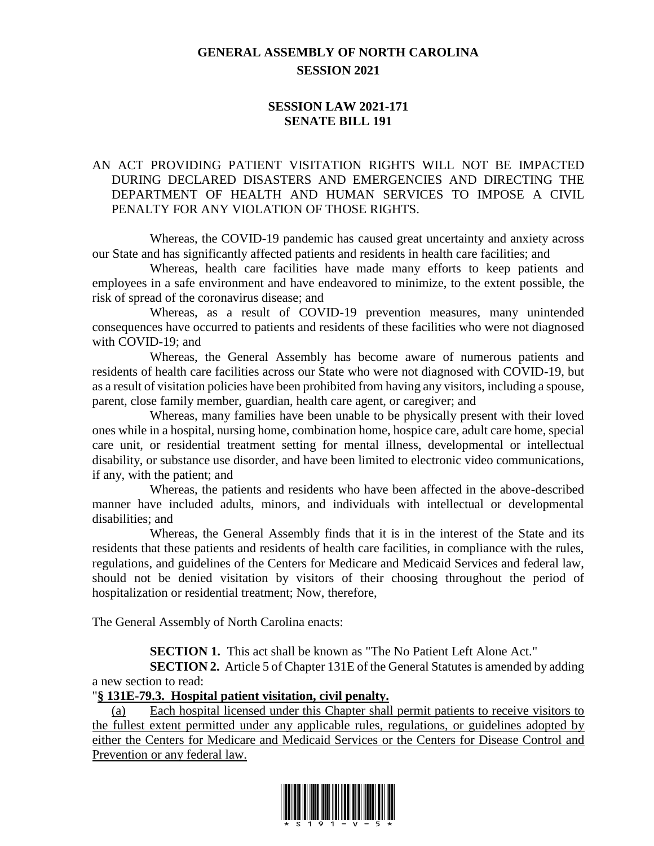# **GENERAL ASSEMBLY OF NORTH CAROLINA SESSION 2021**

## **SESSION LAW 2021-171 SENATE BILL 191**

## AN ACT PROVIDING PATIENT VISITATION RIGHTS WILL NOT BE IMPACTED DURING DECLARED DISASTERS AND EMERGENCIES AND DIRECTING THE DEPARTMENT OF HEALTH AND HUMAN SERVICES TO IMPOSE A CIVIL PENALTY FOR ANY VIOLATION OF THOSE RIGHTS.

Whereas, the COVID-19 pandemic has caused great uncertainty and anxiety across our State and has significantly affected patients and residents in health care facilities; and

Whereas, health care facilities have made many efforts to keep patients and employees in a safe environment and have endeavored to minimize, to the extent possible, the risk of spread of the coronavirus disease; and

Whereas, as a result of COVID-19 prevention measures, many unintended consequences have occurred to patients and residents of these facilities who were not diagnosed with COVID-19; and

Whereas, the General Assembly has become aware of numerous patients and residents of health care facilities across our State who were not diagnosed with COVID-19, but as a result of visitation policies have been prohibited from having any visitors, including a spouse, parent, close family member, guardian, health care agent, or caregiver; and

Whereas, many families have been unable to be physically present with their loved ones while in a hospital, nursing home, combination home, hospice care, adult care home, special care unit, or residential treatment setting for mental illness, developmental or intellectual disability, or substance use disorder, and have been limited to electronic video communications, if any, with the patient; and

Whereas, the patients and residents who have been affected in the above-described manner have included adults, minors, and individuals with intellectual or developmental disabilities; and

Whereas, the General Assembly finds that it is in the interest of the State and its residents that these patients and residents of health care facilities, in compliance with the rules, regulations, and guidelines of the Centers for Medicare and Medicaid Services and federal law, should not be denied visitation by visitors of their choosing throughout the period of hospitalization or residential treatment; Now, therefore,

The General Assembly of North Carolina enacts:

**SECTION 1.** This act shall be known as "The No Patient Left Alone Act."

**SECTION 2.** Article 5 of Chapter 131E of the General Statutes is amended by adding a new section to read:

#### "**§ 131E-79.3. Hospital patient visitation, civil penalty.**

(a) Each hospital licensed under this Chapter shall permit patients to receive visitors to the fullest extent permitted under any applicable rules, regulations, or guidelines adopted by either the Centers for Medicare and Medicaid Services or the Centers for Disease Control and Prevention or any federal law.

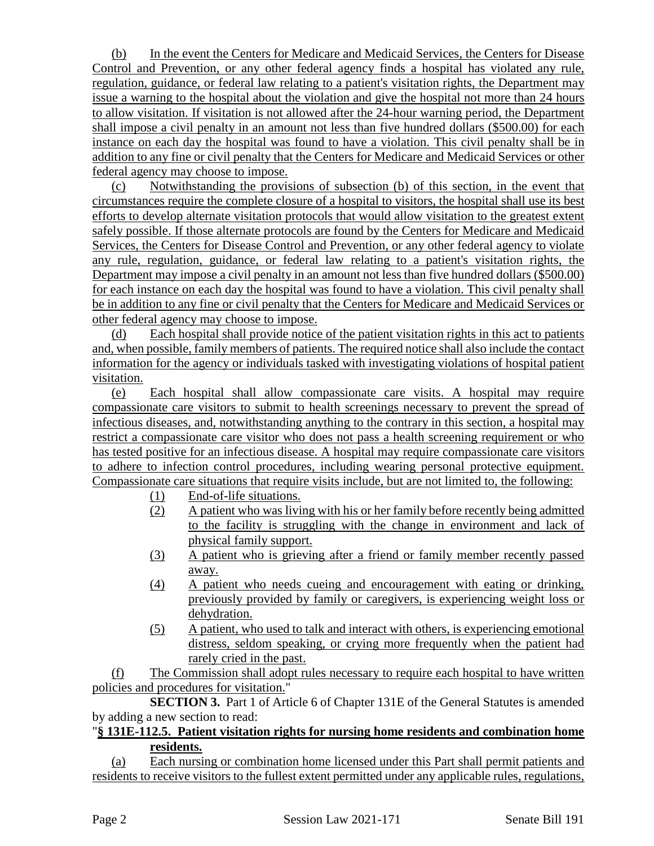(b) In the event the Centers for Medicare and Medicaid Services, the Centers for Disease Control and Prevention, or any other federal agency finds a hospital has violated any rule, regulation, guidance, or federal law relating to a patient's visitation rights, the Department may issue a warning to the hospital about the violation and give the hospital not more than 24 hours to allow visitation. If visitation is not allowed after the 24-hour warning period, the Department shall impose a civil penalty in an amount not less than five hundred dollars (\$500.00) for each instance on each day the hospital was found to have a violation. This civil penalty shall be in addition to any fine or civil penalty that the Centers for Medicare and Medicaid Services or other federal agency may choose to impose.

(c) Notwithstanding the provisions of subsection (b) of this section, in the event that circumstances require the complete closure of a hospital to visitors, the hospital shall use its best efforts to develop alternate visitation protocols that would allow visitation to the greatest extent safely possible. If those alternate protocols are found by the Centers for Medicare and Medicaid Services, the Centers for Disease Control and Prevention, or any other federal agency to violate any rule, regulation, guidance, or federal law relating to a patient's visitation rights, the Department may impose a civil penalty in an amount not less than five hundred dollars (\$500.00) for each instance on each day the hospital was found to have a violation. This civil penalty shall be in addition to any fine or civil penalty that the Centers for Medicare and Medicaid Services or other federal agency may choose to impose.

(d) Each hospital shall provide notice of the patient visitation rights in this act to patients and, when possible, family members of patients. The required notice shall also include the contact information for the agency or individuals tasked with investigating violations of hospital patient visitation.

(e) Each hospital shall allow compassionate care visits. A hospital may require compassionate care visitors to submit to health screenings necessary to prevent the spread of infectious diseases, and, notwithstanding anything to the contrary in this section, a hospital may restrict a compassionate care visitor who does not pass a health screening requirement or who has tested positive for an infectious disease. A hospital may require compassionate care visitors to adhere to infection control procedures, including wearing personal protective equipment. Compassionate care situations that require visits include, but are not limited to, the following:

- (1) End-of-life situations.
- (2) A patient who was living with his or her family before recently being admitted to the facility is struggling with the change in environment and lack of physical family support.
- (3) A patient who is grieving after a friend or family member recently passed away.
- (4) A patient who needs cueing and encouragement with eating or drinking, previously provided by family or caregivers, is experiencing weight loss or dehydration.
- (5) A patient, who used to talk and interact with others, is experiencing emotional distress, seldom speaking, or crying more frequently when the patient had rarely cried in the past.

(f) The Commission shall adopt rules necessary to require each hospital to have written policies and procedures for visitation."

**SECTION 3.** Part 1 of Article 6 of Chapter 131E of the General Statutes is amended by adding a new section to read:

### "**§ 131E-112.5. Patient visitation rights for nursing home residents and combination home residents.**

(a) Each nursing or combination home licensed under this Part shall permit patients and residents to receive visitors to the fullest extent permitted under any applicable rules, regulations,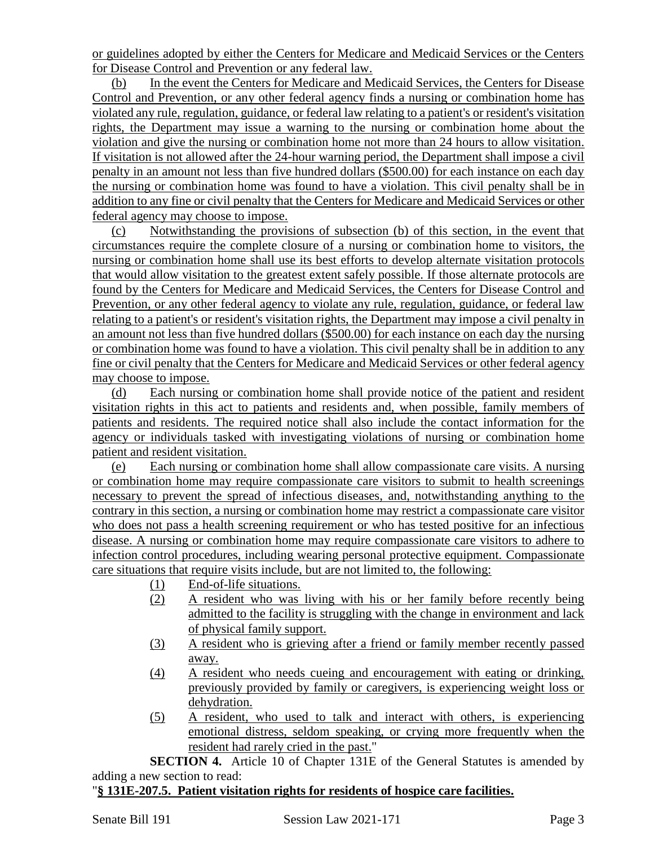or guidelines adopted by either the Centers for Medicare and Medicaid Services or the Centers for Disease Control and Prevention or any federal law.

(b) In the event the Centers for Medicare and Medicaid Services, the Centers for Disease Control and Prevention, or any other federal agency finds a nursing or combination home has violated any rule, regulation, guidance, or federal law relating to a patient's or resident's visitation rights, the Department may issue a warning to the nursing or combination home about the violation and give the nursing or combination home not more than 24 hours to allow visitation. If visitation is not allowed after the 24-hour warning period, the Department shall impose a civil penalty in an amount not less than five hundred dollars (\$500.00) for each instance on each day the nursing or combination home was found to have a violation. This civil penalty shall be in addition to any fine or civil penalty that the Centers for Medicare and Medicaid Services or other federal agency may choose to impose.

(c) Notwithstanding the provisions of subsection (b) of this section, in the event that circumstances require the complete closure of a nursing or combination home to visitors, the nursing or combination home shall use its best efforts to develop alternate visitation protocols that would allow visitation to the greatest extent safely possible. If those alternate protocols are found by the Centers for Medicare and Medicaid Services, the Centers for Disease Control and Prevention, or any other federal agency to violate any rule, regulation, guidance, or federal law relating to a patient's or resident's visitation rights, the Department may impose a civil penalty in an amount not less than five hundred dollars (\$500.00) for each instance on each day the nursing or combination home was found to have a violation. This civil penalty shall be in addition to any fine or civil penalty that the Centers for Medicare and Medicaid Services or other federal agency may choose to impose.

(d) Each nursing or combination home shall provide notice of the patient and resident visitation rights in this act to patients and residents and, when possible, family members of patients and residents. The required notice shall also include the contact information for the agency or individuals tasked with investigating violations of nursing or combination home patient and resident visitation.

(e) Each nursing or combination home shall allow compassionate care visits. A nursing or combination home may require compassionate care visitors to submit to health screenings necessary to prevent the spread of infectious diseases, and, notwithstanding anything to the contrary in this section, a nursing or combination home may restrict a compassionate care visitor who does not pass a health screening requirement or who has tested positive for an infectious disease. A nursing or combination home may require compassionate care visitors to adhere to infection control procedures, including wearing personal protective equipment. Compassionate care situations that require visits include, but are not limited to, the following:

- (1) End-of-life situations.
- (2) A resident who was living with his or her family before recently being admitted to the facility is struggling with the change in environment and lack of physical family support.
- (3) A resident who is grieving after a friend or family member recently passed away.
- (4) A resident who needs cueing and encouragement with eating or drinking, previously provided by family or caregivers, is experiencing weight loss or dehydration.
- (5) A resident, who used to talk and interact with others, is experiencing emotional distress, seldom speaking, or crying more frequently when the resident had rarely cried in the past."

**SECTION 4.** Article 10 of Chapter 131E of the General Statutes is amended by adding a new section to read:

## "**§ 131E-207.5. Patient visitation rights for residents of hospice care facilities.**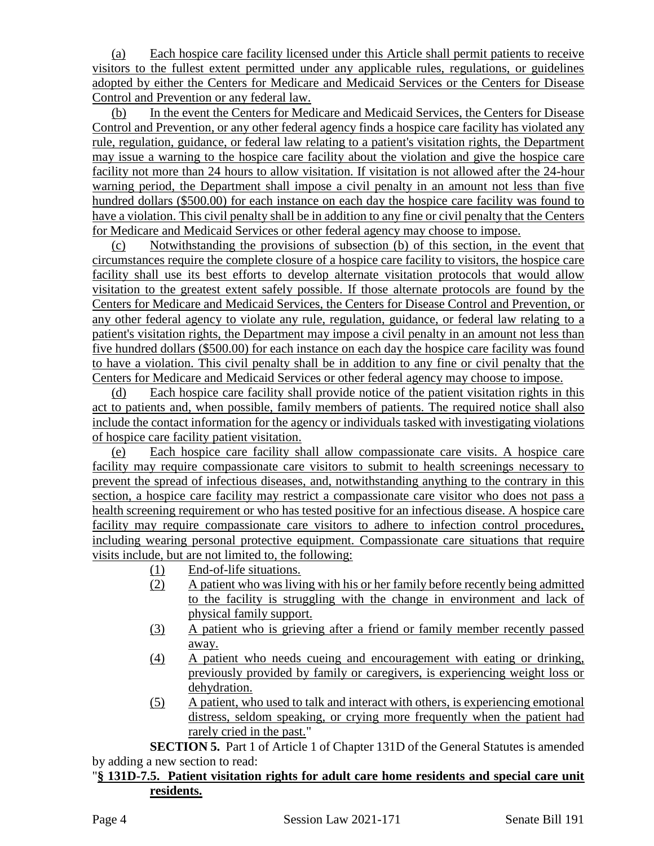(a) Each hospice care facility licensed under this Article shall permit patients to receive visitors to the fullest extent permitted under any applicable rules, regulations, or guidelines adopted by either the Centers for Medicare and Medicaid Services or the Centers for Disease Control and Prevention or any federal law.

(b) In the event the Centers for Medicare and Medicaid Services, the Centers for Disease Control and Prevention, or any other federal agency finds a hospice care facility has violated any rule, regulation, guidance, or federal law relating to a patient's visitation rights, the Department may issue a warning to the hospice care facility about the violation and give the hospice care facility not more than 24 hours to allow visitation. If visitation is not allowed after the 24-hour warning period, the Department shall impose a civil penalty in an amount not less than five hundred dollars (\$500.00) for each instance on each day the hospice care facility was found to have a violation. This civil penalty shall be in addition to any fine or civil penalty that the Centers for Medicare and Medicaid Services or other federal agency may choose to impose.

(c) Notwithstanding the provisions of subsection (b) of this section, in the event that circumstances require the complete closure of a hospice care facility to visitors, the hospice care facility shall use its best efforts to develop alternate visitation protocols that would allow visitation to the greatest extent safely possible. If those alternate protocols are found by the Centers for Medicare and Medicaid Services, the Centers for Disease Control and Prevention, or any other federal agency to violate any rule, regulation, guidance, or federal law relating to a patient's visitation rights, the Department may impose a civil penalty in an amount not less than five hundred dollars (\$500.00) for each instance on each day the hospice care facility was found to have a violation. This civil penalty shall be in addition to any fine or civil penalty that the Centers for Medicare and Medicaid Services or other federal agency may choose to impose.

(d) Each hospice care facility shall provide notice of the patient visitation rights in this act to patients and, when possible, family members of patients. The required notice shall also include the contact information for the agency or individuals tasked with investigating violations of hospice care facility patient visitation.

(e) Each hospice care facility shall allow compassionate care visits. A hospice care facility may require compassionate care visitors to submit to health screenings necessary to prevent the spread of infectious diseases, and, notwithstanding anything to the contrary in this section, a hospice care facility may restrict a compassionate care visitor who does not pass a health screening requirement or who has tested positive for an infectious disease. A hospice care facility may require compassionate care visitors to adhere to infection control procedures, including wearing personal protective equipment. Compassionate care situations that require visits include, but are not limited to, the following:

- (1) End-of-life situations.
- (2) A patient who was living with his or her family before recently being admitted to the facility is struggling with the change in environment and lack of physical family support.
- (3) A patient who is grieving after a friend or family member recently passed away.
- (4) A patient who needs cueing and encouragement with eating or drinking, previously provided by family or caregivers, is experiencing weight loss or dehydration.
- (5) A patient, who used to talk and interact with others, is experiencing emotional distress, seldom speaking, or crying more frequently when the patient had rarely cried in the past."

**SECTION 5.** Part 1 of Article 1 of Chapter 131D of the General Statutes is amended by adding a new section to read:

### "**§ 131D-7.5. Patient visitation rights for adult care home residents and special care unit residents.**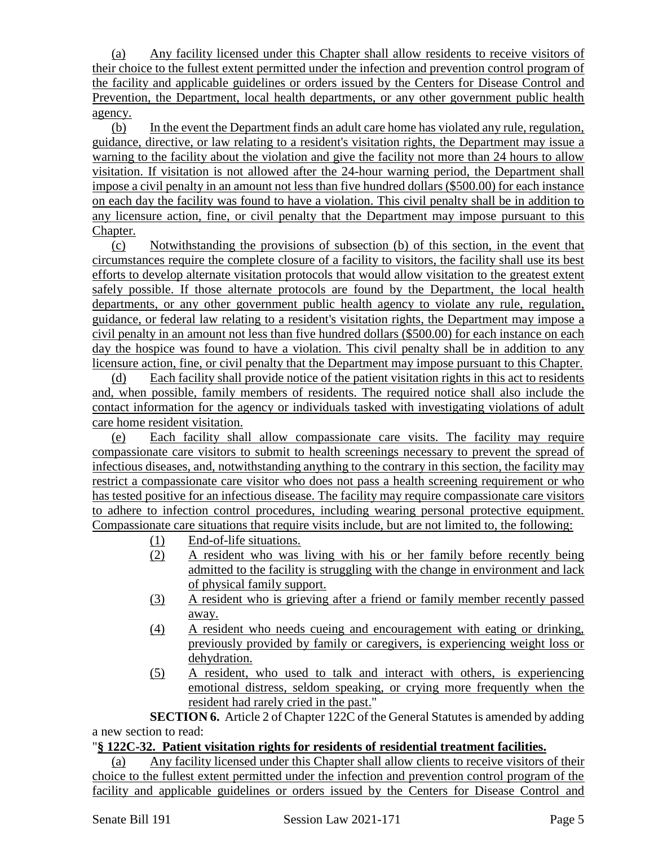(a) Any facility licensed under this Chapter shall allow residents to receive visitors of their choice to the fullest extent permitted under the infection and prevention control program of the facility and applicable guidelines or orders issued by the Centers for Disease Control and Prevention, the Department, local health departments, or any other government public health agency.

(b) In the event the Department finds an adult care home has violated any rule, regulation, guidance, directive, or law relating to a resident's visitation rights, the Department may issue a warning to the facility about the violation and give the facility not more than 24 hours to allow visitation. If visitation is not allowed after the 24-hour warning period, the Department shall impose a civil penalty in an amount not less than five hundred dollars (\$500.00) for each instance on each day the facility was found to have a violation. This civil penalty shall be in addition to any licensure action, fine, or civil penalty that the Department may impose pursuant to this Chapter.

(c) Notwithstanding the provisions of subsection (b) of this section, in the event that circumstances require the complete closure of a facility to visitors, the facility shall use its best efforts to develop alternate visitation protocols that would allow visitation to the greatest extent safely possible. If those alternate protocols are found by the Department, the local health departments, or any other government public health agency to violate any rule, regulation, guidance, or federal law relating to a resident's visitation rights, the Department may impose a civil penalty in an amount not less than five hundred dollars (\$500.00) for each instance on each day the hospice was found to have a violation. This civil penalty shall be in addition to any licensure action, fine, or civil penalty that the Department may impose pursuant to this Chapter.

(d) Each facility shall provide notice of the patient visitation rights in this act to residents and, when possible, family members of residents. The required notice shall also include the contact information for the agency or individuals tasked with investigating violations of adult care home resident visitation.

(e) Each facility shall allow compassionate care visits. The facility may require compassionate care visitors to submit to health screenings necessary to prevent the spread of infectious diseases, and, notwithstanding anything to the contrary in this section, the facility may restrict a compassionate care visitor who does not pass a health screening requirement or who has tested positive for an infectious disease. The facility may require compassionate care visitors to adhere to infection control procedures, including wearing personal protective equipment. Compassionate care situations that require visits include, but are not limited to, the following:

- (1) End-of-life situations.
- (2) A resident who was living with his or her family before recently being admitted to the facility is struggling with the change in environment and lack of physical family support.
- (3) A resident who is grieving after a friend or family member recently passed away.
- (4) A resident who needs cueing and encouragement with eating or drinking, previously provided by family or caregivers, is experiencing weight loss or dehydration.
- (5) A resident, who used to talk and interact with others, is experiencing emotional distress, seldom speaking, or crying more frequently when the resident had rarely cried in the past."

**SECTION 6.** Article 2 of Chapter 122C of the General Statutes is amended by adding a new section to read:

## "**§ 122C-32. Patient visitation rights for residents of residential treatment facilities.**

(a) Any facility licensed under this Chapter shall allow clients to receive visitors of their choice to the fullest extent permitted under the infection and prevention control program of the facility and applicable guidelines or orders issued by the Centers for Disease Control and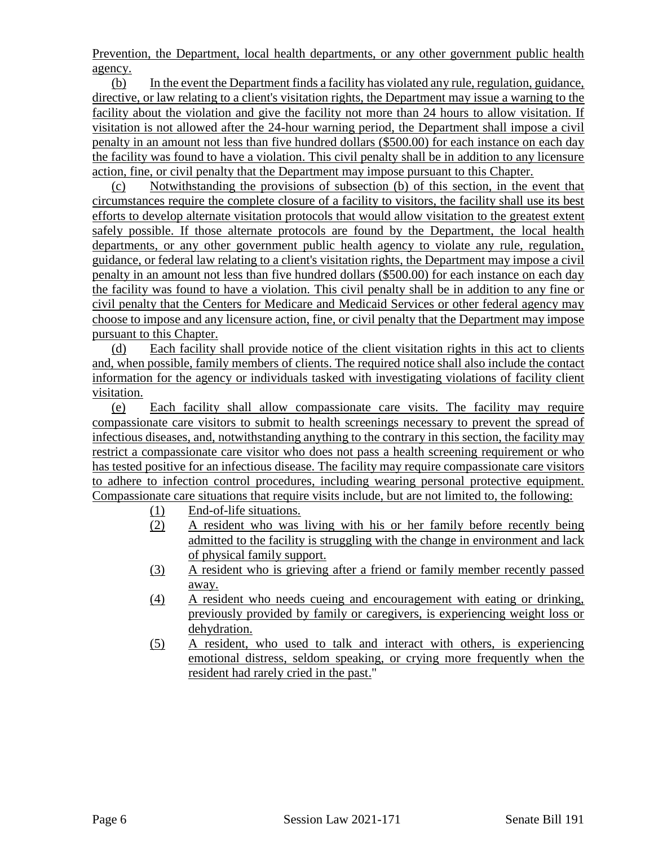Prevention, the Department, local health departments, or any other government public health agency.

(b) In the event the Department finds a facility has violated any rule, regulation, guidance, directive, or law relating to a client's visitation rights, the Department may issue a warning to the facility about the violation and give the facility not more than 24 hours to allow visitation. If visitation is not allowed after the 24-hour warning period, the Department shall impose a civil penalty in an amount not less than five hundred dollars (\$500.00) for each instance on each day the facility was found to have a violation. This civil penalty shall be in addition to any licensure action, fine, or civil penalty that the Department may impose pursuant to this Chapter.

(c) Notwithstanding the provisions of subsection (b) of this section, in the event that circumstances require the complete closure of a facility to visitors, the facility shall use its best efforts to develop alternate visitation protocols that would allow visitation to the greatest extent safely possible. If those alternate protocols are found by the Department, the local health departments, or any other government public health agency to violate any rule, regulation, guidance, or federal law relating to a client's visitation rights, the Department may impose a civil penalty in an amount not less than five hundred dollars (\$500.00) for each instance on each day the facility was found to have a violation. This civil penalty shall be in addition to any fine or civil penalty that the Centers for Medicare and Medicaid Services or other federal agency may choose to impose and any licensure action, fine, or civil penalty that the Department may impose pursuant to this Chapter.

(d) Each facility shall provide notice of the client visitation rights in this act to clients and, when possible, family members of clients. The required notice shall also include the contact information for the agency or individuals tasked with investigating violations of facility client visitation.

(e) Each facility shall allow compassionate care visits. The facility may require compassionate care visitors to submit to health screenings necessary to prevent the spread of infectious diseases, and, notwithstanding anything to the contrary in this section, the facility may restrict a compassionate care visitor who does not pass a health screening requirement or who has tested positive for an infectious disease. The facility may require compassionate care visitors to adhere to infection control procedures, including wearing personal protective equipment. Compassionate care situations that require visits include, but are not limited to, the following:

- (1) End-of-life situations.
- (2) A resident who was living with his or her family before recently being admitted to the facility is struggling with the change in environment and lack of physical family support.
- (3) A resident who is grieving after a friend or family member recently passed away.
- (4) A resident who needs cueing and encouragement with eating or drinking, previously provided by family or caregivers, is experiencing weight loss or dehydration.
- (5) A resident, who used to talk and interact with others, is experiencing emotional distress, seldom speaking, or crying more frequently when the resident had rarely cried in the past."